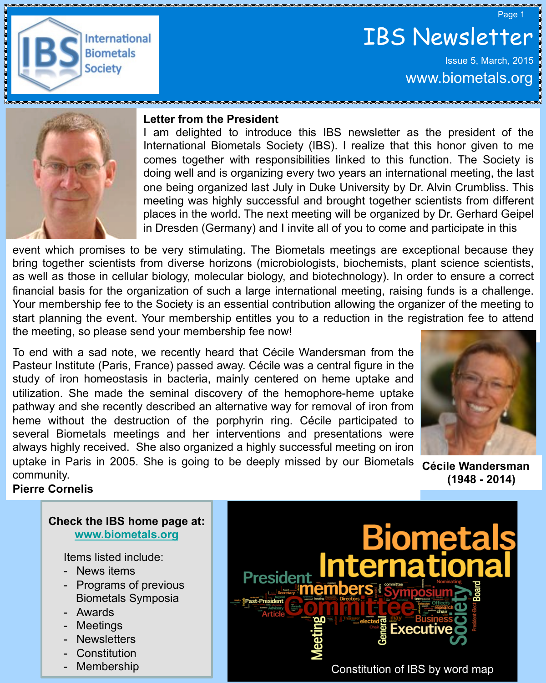Page 1



# IBS Newsletter Issue 5, March, 2015

www.biometals.org



#### **Letter from the President**

I am delighted to introduce this IBS newsletter as the president of the International Biometals Society (IBS). I realize that this honor given to me comes together with responsibilities linked to this function. The Society is doing well and is organizing every two years an international meeting, the last one being organized last July in Duke University by Dr. Alvin Crumbliss. This meeting was highly successful and brought together scientists from different places in the world. The next meeting will be organized by Dr. Gerhard Geipel in Dresden (Germany) and I invite all of you to come and participate in this

event which promises to be very stimulating. The Biometals meetings are exceptional because they bring together scientists from diverse horizons (microbiologists, biochemists, plant science scientists, as well as those in cellular biology, molecular biology, and biotechnology). In order to ensure a correct financial basis for the organization of such a large international meeting, raising funds is a challenge. Your membership fee to the Society is an essential contribution allowing the organizer of the meeting to start planning the event. Your membership entitles you to a reduction in the registration fee to attend the meeting, so please send your membership fee now!

To end with a sad note, we recently heard that Cécile Wandersman from the Pasteur Institute (Paris, France) passed away. Cécile was a central figure in the study of iron homeostasis in bacteria, mainly centered on heme uptake and utilization. She made the seminal discovery of the hemophore-heme uptake pathway and she recently described an alternative way for removal of iron from heme without the destruction of the porphyrin ring. Cécile participated to several Biometals meetings and her interventions and presentations were always highly received. She also organized a highly successful meeting on iron uptake in Paris in 2005. She is going to be deeply missed by our Biometals community.



**Cécile Wandersman (1948 - 2014)**

#### **Pierre Cornelis**

#### **Check the IBS home page at: www.biometals.org**

Items listed include:

- News items
- Programs of previous Biometals Symposia
- **Awards**
- **Meetings**
- **Newsletters**
- **Constitution**
- Membership

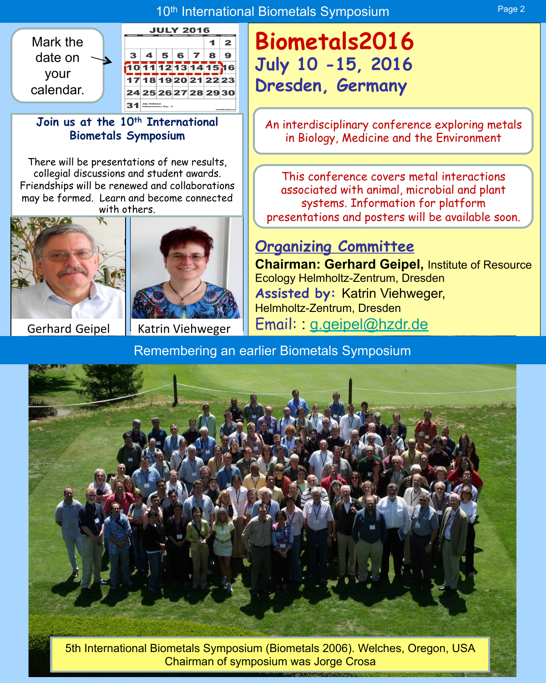## 10<sup>th</sup> International Biometals Symposium **Page 2** Page 2



#### Join us at the 10<sup>th</sup> International **Biometals Symposium**

There will be presentations of new results, collegial discussions and student awards. Friendships will be renewed and collaborations may be formed. Learn and become connected with others.





# **Biometals2016 July 10 -15, 2016 Dresden, Germany**

An interdisciplinary conference exploring metals in Biology, Medicine and the Environment

This conference covers metal interactions associated with animal, microbial and plant systems. Information for platform presentations and posters will be available soon.

# **Organizing Committee**

**Chairman: Gerhard Geipel,** Institute of Resource Ecology Helmholtz-Zentrum, Dresden **Assisted by:** Katrin Viehweger, Helmholtz-Zentrum, Dresden Gerhard Geipel | Katrin Viehweger | Email: : g.geipel@hzdr.de

Remembering an earlier Biometals Symposium



5th International Biometals Symposium (Biometals 2006). Welches, Oregon, USA Chairman of symposium was Jorge Crosa